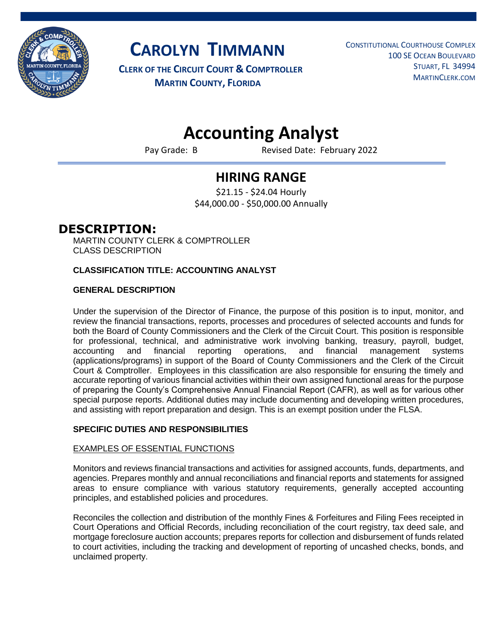

**CAROLYN TIMMANN**

**CLERK OF THE CIRCUIT COURT & COMPTROLLER MARTIN COUNTY, FLORIDA**

 CONSTITUTIONAL COURTHOUSE COMPLEX 100 SE OCEAN BOULEVARD STUART, FL 34994 MARTINCLERK.COM

# **Accounting Analyst**

Pay Grade: B Revised Date: February 2022

## **HIRING RANGE**

\$21.15 - \$24.04 Hourly \$44,000.00 - \$50,000.00 Annually

### **DESCRIPTION:**

MARTIN COUNTY CLERK & COMPTROLLER CLASS DESCRIPTION

#### **CLASSIFICATION TITLE: ACCOUNTING ANALYST**

#### **GENERAL DESCRIPTION**

Under the supervision of the Director of Finance, the purpose of this position is to input, monitor, and review the financial transactions, reports, processes and procedures of selected accounts and funds for both the Board of County Commissioners and the Clerk of the Circuit Court. This position is responsible for professional, technical, and administrative work involving banking, treasury, payroll, budget, accounting and financial reporting operations, and financial management systems (applications/programs) in support of the Board of County Commissioners and the Clerk of the Circuit Court & Comptroller. Employees in this classification are also responsible for ensuring the timely and accurate reporting of various financial activities within their own assigned functional areas for the purpose of preparing the County's Comprehensive Annual Financial Report (CAFR), as well as for various other special purpose reports. Additional duties may include documenting and developing written procedures, and assisting with report preparation and design. This is an exempt position under the FLSA.

#### **SPECIFIC DUTIES AND RESPONSIBILITIES**

#### EXAMPLES OF ESSENTIAL FUNCTIONS

Monitors and reviews financial transactions and activities for assigned accounts, funds, departments, and agencies. Prepares monthly and annual reconciliations and financial reports and statements for assigned areas to ensure compliance with various statutory requirements, generally accepted accounting principles, and established policies and procedures.

Reconciles the collection and distribution of the monthly Fines & Forfeitures and Filing Fees receipted in Court Operations and Official Records, including reconciliation of the court registry, tax deed sale, and mortgage foreclosure auction accounts; prepares reports for collection and disbursement of funds related to court activities, including the tracking and development of reporting of uncashed checks, bonds, and unclaimed property.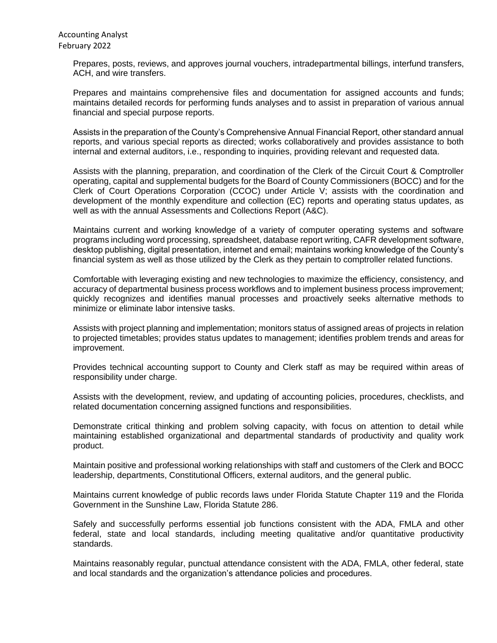Prepares, posts, reviews, and approves journal vouchers, intradepartmental billings, interfund transfers, ACH, and wire transfers.

Prepares and maintains comprehensive files and documentation for assigned accounts and funds; maintains detailed records for performing funds analyses and to assist in preparation of various annual financial and special purpose reports.

Assists in the preparation of the County's Comprehensive Annual Financial Report, other standard annual reports, and various special reports as directed; works collaboratively and provides assistance to both internal and external auditors, i.e., responding to inquiries, providing relevant and requested data.

Assists with the planning, preparation, and coordination of the Clerk of the Circuit Court & Comptroller operating, capital and supplemental budgets for the Board of County Commissioners (BOCC) and for the Clerk of Court Operations Corporation (CCOC) under Article V; assists with the coordination and development of the monthly expenditure and collection (EC) reports and operating status updates, as well as with the annual Assessments and Collections Report (A&C).

Maintains current and working knowledge of a variety of computer operating systems and software programs including word processing, spreadsheet, database report writing, CAFR development software, desktop publishing, digital presentation, internet and email; maintains working knowledge of the County's financial system as well as those utilized by the Clerk as they pertain to comptroller related functions.

Comfortable with leveraging existing and new technologies to maximize the efficiency, consistency, and accuracy of departmental business process workflows and to implement business process improvement; quickly recognizes and identifies manual processes and proactively seeks alternative methods to minimize or eliminate labor intensive tasks.

Assists with project planning and implementation; monitors status of assigned areas of projects in relation to projected timetables; provides status updates to management; identifies problem trends and areas for improvement.

Provides technical accounting support to County and Clerk staff as may be required within areas of responsibility under charge.

Assists with the development, review, and updating of accounting policies, procedures, checklists, and related documentation concerning assigned functions and responsibilities.

Demonstrate critical thinking and problem solving capacity, with focus on attention to detail while maintaining established organizational and departmental standards of productivity and quality work product.

Maintain positive and professional working relationships with staff and customers of the Clerk and BOCC leadership, departments, Constitutional Officers, external auditors, and the general public.

Maintains current knowledge of public records laws under Florida Statute Chapter 119 and the Florida Government in the Sunshine Law, Florida Statute 286.

Safely and successfully performs essential job functions consistent with the ADA, FMLA and other federal, state and local standards, including meeting qualitative and/or quantitative productivity standards.

Maintains reasonably regular, punctual attendance consistent with the ADA, FMLA, other federal, state and local standards and the organization's attendance policies and procedures.